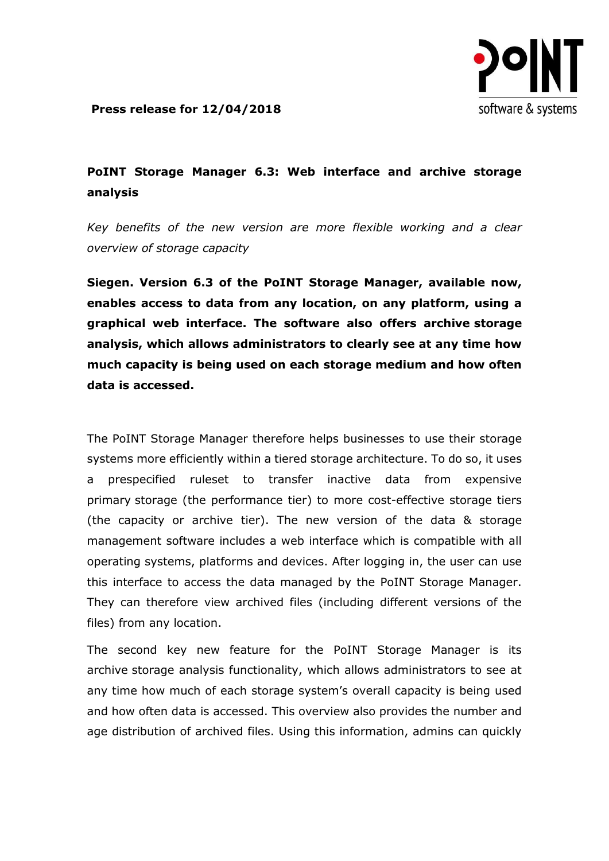

**Press release for 12/04/2018** 

## **PoINT Storage Manager 6.3: Web interface and archive storage analysis**

*Key benefits of the new version are more flexible working and a clear overview of storage capacity*

**Siegen. Version 6.3 of the PoINT Storage Manager, available now, enables access to data from any location, on any platform, using a graphical web interface. The software also offers archive storage analysis, which allows administrators to clearly see at any time how much capacity is being used on each storage medium and how often data is accessed.** 

The PoINT Storage Manager therefore helps businesses to use their storage systems more efficiently within a tiered storage architecture. To do so, it uses a prespecified ruleset to transfer inactive data from expensive primary storage (the performance tier) to more cost-effective storage tiers (the capacity or archive tier). The new version of the data & storage management software includes a web interface which is compatible with all operating systems, platforms and devices. After logging in, the user can use this interface to access the data managed by the PoINT Storage Manager. They can therefore view archived files (including different versions of the files) from any location.

The second key new feature for the PoINT Storage Manager is its archive storage analysis functionality, which allows administrators to see at any time how much of each storage system's overall capacity is being used and how often data is accessed. This overview also provides the number and age distribution of archived files. Using this information, admins can quickly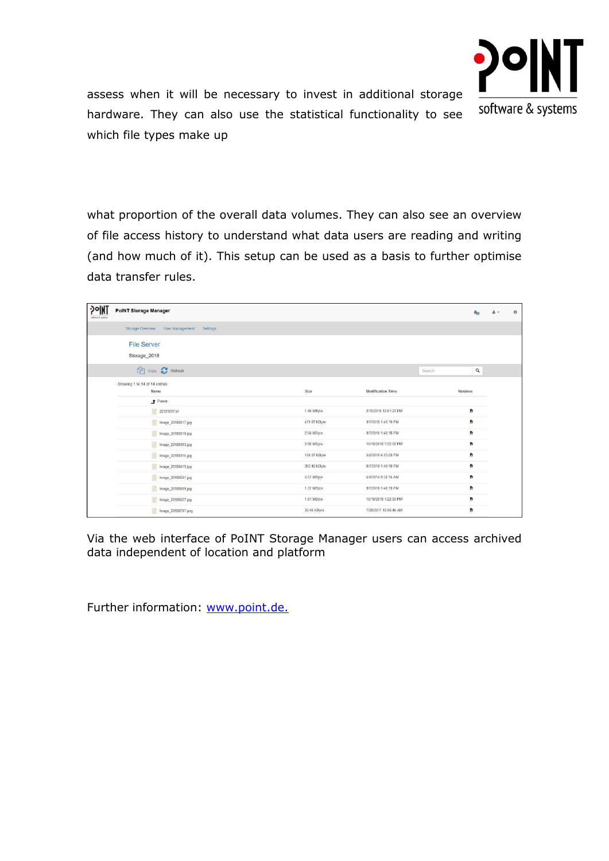

assess when it will be necessary to invest in additional storage hardware. They can also use the statistical functionality to see which file types make up

what proportion of the overall data volumes. They can also see an overview of file access history to understand what data users are reading and writing (and how much of it). This setup can be used as a basis to further optimise data transfer rules.

| <b>DONT</b><br>software & systems | <b>PoINT Storage Manager</b>                    |              |                          |          | $\mathcal{L}_{\mathbf{0}}$ | $\theta$ |
|-----------------------------------|-------------------------------------------------|--------------|--------------------------|----------|----------------------------|----------|
|                                   | Storage Overview<br>User Management<br>Settings |              |                          |          |                            |          |
|                                   | <b>File Server</b><br>Storage_2018              |              |                          |          |                            |          |
|                                   | <b>CAT</b> Copy <b>C</b> Retresh                |              |                          | Search   | $\hbox{\tt Q}$             |          |
|                                   | Showing 1 to 14 of 14 entries<br>Name           | Size         | <b>Modification Time</b> | Versions |                            |          |
|                                   | + Parent                                        |              |                          |          |                            |          |
|                                   | ₩<br>20181017.tif                               | 1.46 MByte   | 2/10/2010 12:01:23 PM    | P.       |                            |          |
|                                   | e<br>Image_20180217.jpg                         | 479.87 KByte | 9/7/2018 1:48:19 PM      | 费        |                            |          |
|                                   | Image_20180219.jpg                              | 2.04 MByte   | 9/7/2018 1:48:18 PM      | 费        |                            |          |
|                                   | Image_20180303.jpg                              | 2.08 MByte   | 10/18/2018 1:22:02 PM    | 费        |                            |          |
|                                   | Image_20180314.jpg                              | 108.97 KByte | 5/2/2018 4:59:09 PM      | 费        |                            |          |
|                                   | Image_20180419.jpg                              | 392.48 KByte | 9/7/2018 1:48:18 PM      | 费        |                            |          |
|                                   | Image 20180501.jpg                              | 5.57 MByte   | 4/4/2014 9:34:14 AM      | 熟        |                            |          |
|                                   | Image_20180509.jpg                              | 1.37 MByte   | 9/7/2018 1:48:19 PM      | P.       |                            |          |
|                                   | Image_20180527.jpg                              | 1.01 MByte   | 10/18/2018 1:22:03 PM    | 费        |                            |          |
|                                   | Image_20180707.png                              | 33.45 KByte  | 7/28/2017 10:56:46 AM    | P.       |                            |          |

Via the web interface of PoINT Storage Manager users can access archived data independent of location and platform

Further information: [www.point.de.](https://www.point.de/)